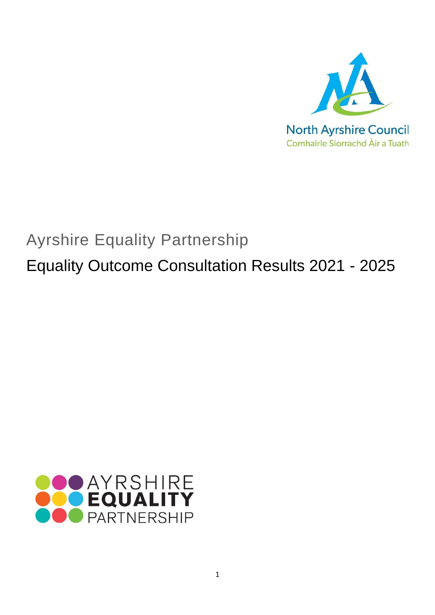

# Ayrshire Equality Partnership

Equality Outcome Consultation Results 2021 - 2025

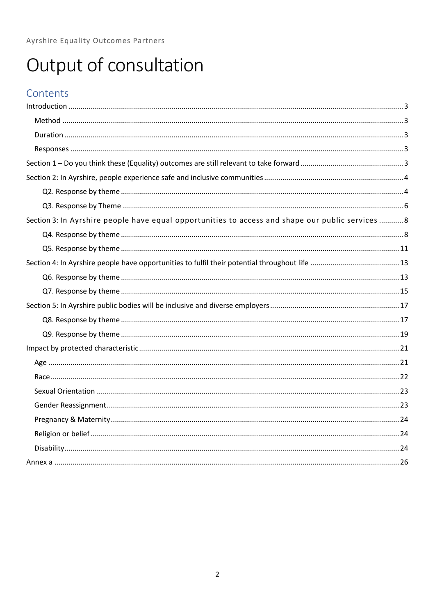# Output of consultation

# Contents

| Section 3: In Ayrshire people have equal opportunities to access and shape our public services 8 |  |
|--------------------------------------------------------------------------------------------------|--|
|                                                                                                  |  |
|                                                                                                  |  |
|                                                                                                  |  |
|                                                                                                  |  |
|                                                                                                  |  |
|                                                                                                  |  |
|                                                                                                  |  |
|                                                                                                  |  |
|                                                                                                  |  |
|                                                                                                  |  |
|                                                                                                  |  |
|                                                                                                  |  |
|                                                                                                  |  |
|                                                                                                  |  |
|                                                                                                  |  |
|                                                                                                  |  |
|                                                                                                  |  |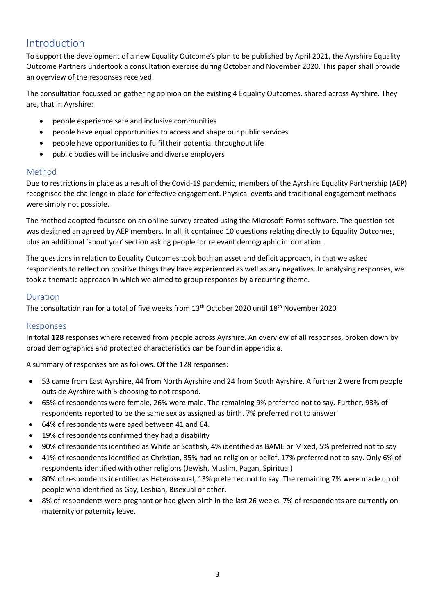# <span id="page-2-0"></span>Introduction

To support the development of a new Equality Outcome's plan to be published by April 2021, the Ayrshire Equality Outcome Partners undertook a consultation exercise during October and November 2020. This paper shall provide an overview of the responses received.

The consultation focussed on gathering opinion on the existing 4 Equality Outcomes, shared across Ayrshire. They are, that in Ayrshire:

- people experience safe and inclusive communities
- people have equal opportunities to access and shape our public services
- people have opportunities to fulfil their potential throughout life
- public bodies will be inclusive and diverse employers

# <span id="page-2-1"></span>Method

Due to restrictions in place as a result of the Covid-19 pandemic, members of the Ayrshire Equality Partnership (AEP) recognised the challenge in place for effective engagement. Physical events and traditional engagement methods were simply not possible.

The method adopted focussed on an online survey created using the Microsoft Forms software. The question set was designed an agreed by AEP members. In all, it contained 10 questions relating directly to Equality Outcomes, plus an additional 'about you' section asking people for relevant demographic information.

The questions in relation to Equality Outcomes took both an asset and deficit approach, in that we asked respondents to reflect on positive things they have experienced as well as any negatives. In analysing responses, we took a thematic approach in which we aimed to group responses by a recurring theme.

# <span id="page-2-2"></span>Duration

The consultation ran for a total of five weeks from 13<sup>th</sup> October 2020 until 18<sup>th</sup> November 2020

# <span id="page-2-3"></span>Responses

In total **128** responses where received from people across Ayrshire. An overview of all responses, broken down by broad demographics and protected characteristics can be found in appendix a.

A summary of responses are as follows. Of the 128 responses:

- 53 came from East Ayrshire, 44 from North Ayrshire and 24 from South Ayrshire. A further 2 were from people outside Ayrshire with 5 choosing to not respond.
- 65% of respondents were female, 26% were male. The remaining 9% preferred not to say. Further, 93% of respondents reported to be the same sex as assigned as birth. 7% preferred not to answer
- 64% of respondents were aged between 41 and 64.
- 19% of respondents confirmed they had a disability
- 90% of respondents identified as White or Scottish, 4% identified as BAME or Mixed, 5% preferred not to say
- 41% of respondents identified as Christian, 35% had no religion or belief, 17% preferred not to say. Only 6% of respondents identified with other religions (Jewish, Muslim, Pagan, Spiritual)
- 80% of respondents identified as Heterosexual, 13% preferred not to say. The remaining 7% were made up of people who identified as Gay, Lesbian, Bisexual or other.
- 8% of respondents were pregnant or had given birth in the last 26 weeks. 7% of respondents are currently on maternity or paternity leave.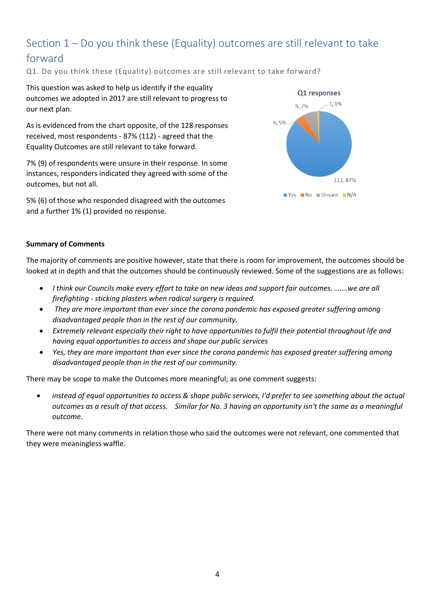# <span id="page-3-0"></span>Section 1 – Do you think these (Equality) outcomes are still relevant to take forward

Q1. Do you think these (Equality) outcomes are still relevant to take forward?

This question was asked to help us identify if the equality outcomes we adopted in 2017 are still relevant to progress to our next plan.

As is evidenced from the chart opposite, of the 128 responses received, most respondents - 87% (112) - agreed that the Equality Outcomes are still relevant to take forward.

7% (9) of respondents were unsure in their response. In some instances, responders indicated they agreed with some of the outcomes, but not all.

5% (6) of those who responded disagreed with the outcomes and a further 1% (1) provided no response.



#### **Summary of Comments**

The majority of comments are positive however, state that there is room for improvement, the outcomes should be looked at in depth and that the outcomes should be continuously reviewed. Some of the suggestions are as follows:

- *I think our Councils make every effort to take on new ideas and support fair outcomes. …….we are all firefighting - sticking plasters when radical surgery is required.*
- *They are more important than ever since the corona pandemic has exposed greater suffering among disadvantaged people than in the rest of our community.*
- *Extremely relevant especially their right to have opportunities to fulfil their potential throughout life and having equal opportunities to access and shape our public services*
- *Yes, they are more important than ever since the corona pandemic has exposed greater suffering among disadvantaged people than in the rest of our community.*

There may be scope to make the Outcomes more meaningful; as one comment suggests:

• *instead of equal opportunities to access & shape public services, I'd prefer to see something about the actual outcomes as a result of that access. Similar for No. 3 having an opportunity isn't the same as a meaningful outcome.*

There were not many comments in relation those who said the outcomes were not relevant, one commented that they were meaningless waffle.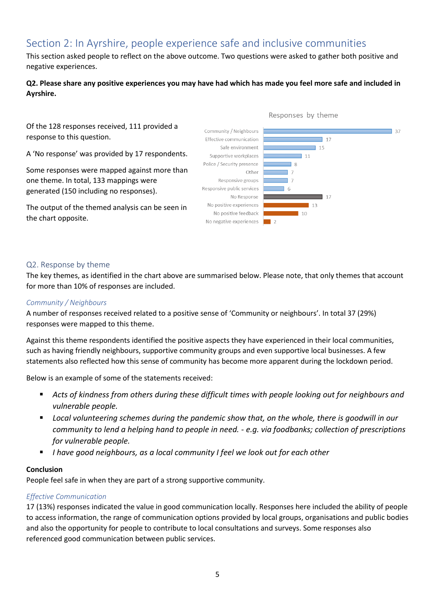# <span id="page-4-0"></span>Section 2: In Ayrshire, people experience safe and inclusive communities

This section asked people to reflect on the above outcome. Two questions were asked to gather both positive and negative experiences.

## **Q2. Please share any positive experiences you may have had which has made you feel more safe and included in Ayrshire.**

Of the 128 responses received, 111 provided a response to this question.

A 'No response' was provided by 17 respondents.

Some responses were mapped against more than one theme. In total, 133 mappings were generated (150 including no responses).

The output of the themed analysis can be seen in the chart opposite.



#### <span id="page-4-1"></span>Q2. Response by theme

The key themes, as identified in the chart above are summarised below. Please note, that only themes that account for more than 10% of responses are included.

#### *Community / Neighbours*

A number of responses received related to a positive sense of 'Community or neighbours'. In total 37 (29%) responses were mapped to this theme.

Against this theme respondents identified the positive aspects they have experienced in their local communities, such as having friendly neighbours, supportive community groups and even supportive local businesses. A few statements also reflected how this sense of community has become more apparent during the lockdown period.

Below is an example of some of the statements received:

- Acts of kindness from others during these difficult times with people looking out for neighbours and *vulnerable people.*
- Local volunteering schemes during the pandemic show that, on the whole, there is goodwill in our *community to lend a helping hand to people in need. - e.g. via foodbanks; collection of prescriptions for vulnerable people.*
- *I have good neighbours, as a local community I feel we look out for each other*

#### **Conclusion**

People feel safe in when they are part of a strong supportive community.

#### *Effective Communication*

17 (13%) responses indicated the value in good communication locally. Responses here included the ability of people to access information, the range of communication options provided by local groups, organisations and public bodies and also the opportunity for people to contribute to local consultations and surveys. Some responses also referenced good communication between public services.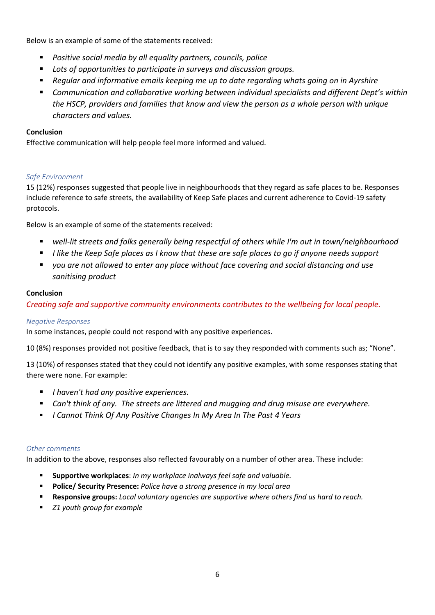Below is an example of some of the statements received:

- *Positive social media by all equality partners, councils, police*
- Lots of opportunities to participate in surveys and discussion groups.
- *Regular and informative emails keeping me up to date regarding whats going on in Ayrshire*
- Communication and collaborative working between individual specialists and different Dept's within *the HSCP, providers and families that know and view the person as a whole person with unique characters and values.*

## **Conclusion**

Effective communication will help people feel more informed and valued.

# *Safe Environment*

15 (12%) responses suggested that people live in neighbourhoods that they regard as safe places to be. Responses include reference to safe streets, the availability of Keep Safe places and current adherence to Covid-19 safety protocols.

Below is an example of some of the statements received:

- *well-lit streets and folks generally being respectful of others while I'm out in town/neighbourhood*
- *I like the Keep Safe places as I know that these are safe places to go if anyone needs support*
- *you are not allowed to enter any place without face covering and social distancing and use sanitising product*

## **Conclusion**

*Creating safe and supportive community environments contributes to the wellbeing for local people.*

## *Negative Responses*

In some instances, people could not respond with any positive experiences.

10 (8%) responses provided not positive feedback, that is to say they responded with comments such as; "None".

13 (10%) of responses stated that they could not identify any positive examples, with some responses stating that there were none. For example:

- *I haven't had any positive experiences.*
- Can't think of any. The streets are littered and mugging and drug misuse are everywhere.
- *I Cannot Think Of Any Positive Changes In My Area In The Past 4 Years*

## *Other comments*

In addition to the above, responses also reflected favourably on a number of other area. These include:

- **Supportive workplaces**: *In my workplace inalways feel safe and valuable.*
- **Police/ Security Presence:** *Police have a strong presence in my local area*
- **Responsive groups:** *Local voluntary agencies are supportive where others find us hard to reach.*
- *Z1 youth group for example*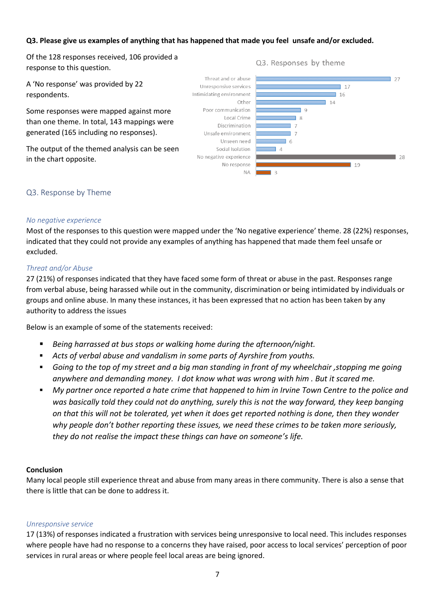#### **Q3. Please give us examples of anything that has happened that made you feel unsafe and/or excluded.**

Of the 128 responses received, 106 provided a response to this question.

A 'No response' was provided by 22 respondents.

Some responses were mapped against more than one theme. In total, 143 mappings were generated (165 including no responses).

The output of the themed analysis can be seen in the chart opposite.



#### <span id="page-6-0"></span>Q3. Response by Theme

#### *No negative experience*

Most of the responses to this question were mapped under the 'No negative experience' theme. 28 (22%) responses, indicated that they could not provide any examples of anything has happened that made them feel unsafe or excluded.

#### *Threat and/or Abuse*

27 (21%) of responses indicated that they have faced some form of threat or abuse in the past. Responses range from verbal abuse, being harassed while out in the community, discrimination or being intimidated by individuals or groups and online abuse. In many these instances, it has been expressed that no action has been taken by any authority to address the issues

Below is an example of some of the statements received:

- *Being harrassed at bus stops or walking home during the afternoon/night.*
- *Acts of verbal abuse and vandalism in some parts of Ayrshire from youths.*
- Going to the top of my street and a big man standing in front of my wheelchair , stopping me going *anywhere and demanding money. I dot know what was wrong with him . But it scared me.*
- *My partner once reported a hate crime that happened to him in Irvine Town Centre to the police and was basically told they could not do anything, surely this is not the way forward, they keep banging on that this will not be tolerated, yet when it does get reported nothing is done, then they wonder why people don't bother reporting these issues, we need these crimes to be taken more seriously, they do not realise the impact these things can have on someone's life.*

#### **Conclusion**

Many local people still experience threat and abuse from many areas in there community. There is also a sense that there is little that can be done to address it.

#### *Unresponsive service*

17 (13%) of responses indicated a frustration with services being unresponsive to local need. This includes responses where people have had no response to a concerns they have raised, poor access to local services' perception of poor services in rural areas or where people feel local areas are being ignored.

#### Q3. Responses by theme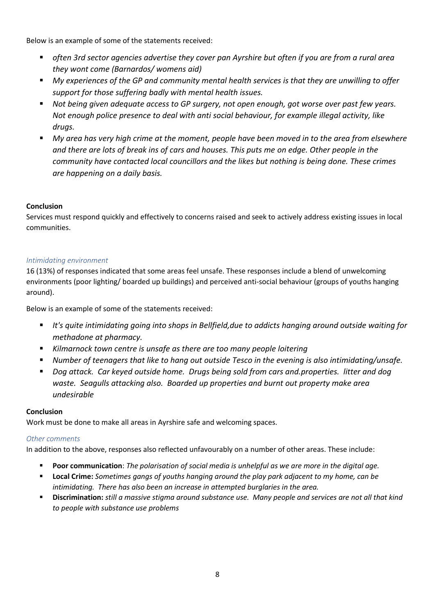Below is an example of some of the statements received:

- often 3rd sector agencies advertise they cover pan Ayrshire but often if you are from a rural area *they wont come (Barnardos/ womens aid)*
- My experiences of the GP and community mental health services is that they are unwilling to offer *support for those suffering badly with mental health issues.*
- *Not being given adequate access to GP surgery, not open enough, got worse over past few years. Not enough police presence to deal with anti social behaviour, for example illegal activity, like drugs.*
- My area has very high crime at the moment, people have been moved in to the area from elsewhere *and there are lots of break ins of cars and houses. This puts me on edge. Other people in the community have contacted local councillors and the likes but nothing is being done. These crimes are happening on a daily basis.*

# **Conclusion**

Services must respond quickly and effectively to concerns raised and seek to actively address existing issues in local communities.

## *Intimidating environment*

16 (13%) of responses indicated that some areas feel unsafe. These responses include a blend of unwelcoming environments (poor lighting/ boarded up buildings) and perceived anti-social behaviour (groups of youths hanging around).

Below is an example of some of the statements received:

- It's quite intimidating going into shops in Bellfield, due to addicts hanging around outside waiting for *methadone at pharmacy.*
- *Kilmarnock town centre is unsafe as there are too many people loitering*
- Number of teenagers that like to hang out outside Tesco in the evening is also intimidating/unsafe.
- *Dog attack. Car keyed outside home. Drugs being sold from cars and.properties. litter and dog waste. Seagulls attacking also. Boarded up properties and burnt out property make area undesirable*

## **Conclusion**

Work must be done to make all areas in Ayrshire safe and welcoming spaces.

## *Other comments*

In addition to the above, responses also reflected unfavourably on a number of other areas. These include:

- **Poor communication**: *The polarisation of social media is unhelpful as we are more in the digital age.*
- **Local Crime:** *Sometimes gangs of youths hanging around the play park adjacent to my home, can be intimidating. There has also been an increase in attempted burglaries in the area.*
- **Discrimination:** *still a massive stigma around substance use. Many people and services are not all that kind to people with substance use problems*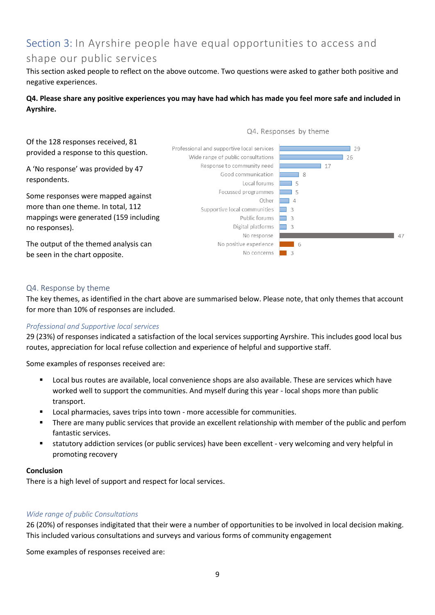# <span id="page-8-0"></span>Section 3: In Ayrshire people have equal opportunities to access and

# shape our public services

This section asked people to reflect on the above outcome. Two questions were asked to gather both positive and negative experiences.

## **Q4. Please share any positive experiences you may have had which has made you feel more safe and included in Ayrshire.**



## <span id="page-8-1"></span>Q4. Response by theme

The key themes, as identified in the chart above are summarised below. Please note, that only themes that account for more than 10% of responses are included.

#### *Professional and Supportive local services*

29 (23%) of responses indicated a satisfaction of the local services supporting Ayrshire. This includes good local bus routes, appreciation for local refuse collection and experience of helpful and supportive staff.

Some examples of responses received are:

- Local bus routes are available, local convenience shops are also available. These are services which have worked well to support the communities. And myself during this year - local shops more than public transport.
- Local pharmacies, saves trips into town more accessible for communities.
- **•** There are many public services that provide an excellent relationship with member of the public and perfom fantastic services.
- statutory addiction services (or public services) have been excellent very welcoming and very helpful in promoting recovery

#### **Conclusion**

There is a high level of support and respect for local services.

#### *Wide range of public Consultations*

26 (20%) of responses indigitated that their were a number of opportunities to be involved in local decision making. This included various consultations and surveys and various forms of community engagement

Some examples of responses received are: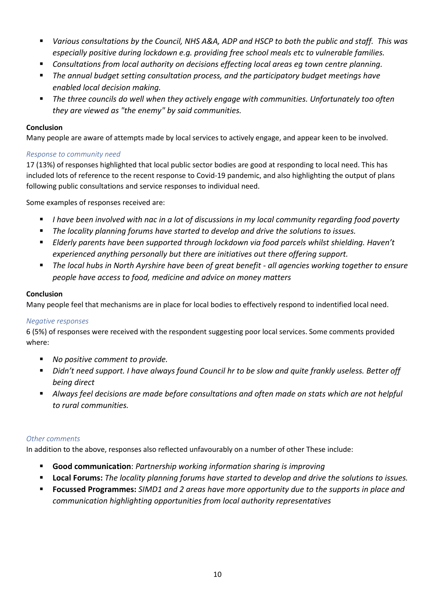- *Various consultations by the Council, NHS A&A, ADP and HSCP to both the public and staff.* This was *especially positive during lockdown e.g. providing free school meals etc to vulnerable families.*
- *Consultations from local authority on decisions effecting local areas eg town centre planning.*
- The annual budget setting consultation process, and the participatory budget meetings have *enabled local decision making.*
- The three councils do well when they actively engage with communities. Unfortunately too often *they are viewed as "the enemy" by said communities.*

#### **Conclusion**

Many people are aware of attempts made by local services to actively engage, and appear keen to be involved.

#### *Response to community need*

17 (13%) of responses highlighted that local public sector bodies are good at responding to local need. This has included lots of reference to the recent response to Covid-19 pandemic, and also highlighting the output of plans following public consultations and service responses to individual need.

Some examples of responses received are:

- *I have been involved with nac in a lot of discussions in my local community regarding food poverty*
- The locality planning forums have started to develop and drive the solutions to issues.
- *Elderly parents have been supported through lockdown via food parcels whilst shielding. Haven't experienced anything personally but there are initiatives out there offering support.*
- The local hubs in North Ayrshire have been of great benefit all agencies working together to ensure *people have access to food, medicine and advice on money matters*

## **Conclusion**

Many people feel that mechanisms are in place for local bodies to effectively respond to indentified local need.

#### *Negative responses*

6 (5%) of responses were received with the respondent suggesting poor local services. Some comments provided where:

- *No positive comment to provide.*
- *Didn't need support. I have always found Council hr to be slow and quite frankly useless. Better off being direct*
- Always feel decisions are made before consultations and often made on stats which are not helpful *to rural communities.*

#### *Other comments*

In addition to the above, responses also reflected unfavourably on a number of other These include:

- **Good communication**: *Partnership working information sharing is improving*
- **Local Forums:** *The locality planning forums have started to develop and drive the solutions to issues.*
- **Focussed Programmes:** *SIMD1 and 2 areas have more opportunity due to the supports in place and communication highlighting opportunities from local authority representatives*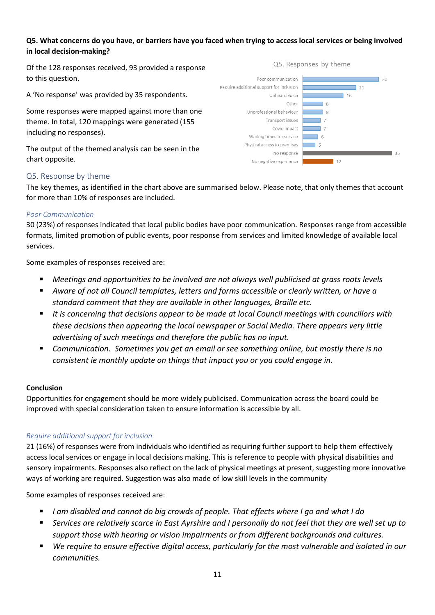## **Q5. What concerns do you have, or barriers have you faced when trying to access local services or being involved in local decision-making?**

Of the 128 responses received, 93 provided a response to this question.

A 'No response' was provided by 35 respondents.

Some responses were mapped against more than one theme. In total, 120 mappings were generated (155 including no responses).

The output of the themed analysis can be seen in the chart opposite.





## <span id="page-10-0"></span>Q5. Response by theme

The key themes, as identified in the chart above are summarised below. Please note, that only themes that account for more than 10% of responses are included.

#### *Poor Communication*

30 (23%) of responses indicated that local public bodies have poor communication. Responses range from accessible formats, limited promotion of public events, poor response from services and limited knowledge of available local services.

Some examples of responses received are:

- *Meetings and opportunities to be involved are not always well publicised at grass roots levels*
- Aware of not all Council templates, letters and forms accessible or clearly written, or have a *standard comment that they are available in other languages, Braille etc.*
- It is concerning that decisions appear to be made at local Council meetings with councillors with *these decisions then appearing the local newspaper or Social Media. There appears very little advertising of such meetings and therefore the public has no input.*
- *Communication. Sometimes you get an email or see something online, but mostly there is no consistent ie monthly update on things that impact you or you could engage in.*

#### **Conclusion**

Opportunities for engagement should be more widely publicised. Communication across the board could be improved with special consideration taken to ensure information is accessible by all.

#### *Require additional support for inclusion*

21 (16%) of responses were from individuals who identified as requiring further support to help them effectively access local services or engage in local decisions making. This is reference to people with physical disabilities and sensory impairments. Responses also reflect on the lack of physical meetings at present, suggesting more innovative ways of working are required. Suggestion was also made of low skill levels in the community

Some examples of responses received are:

- *I am disabled and cannot do big crowds of people. That effects where I go and what I do*
- Services are relatively scarce in East Ayrshire and I personally do not feel that they are well set up to *support those with hearing or vision impairments or from different backgrounds and cultures.*
- We require to ensure effective digital access, particularly for the most vulnerable and isolated in our *communities.*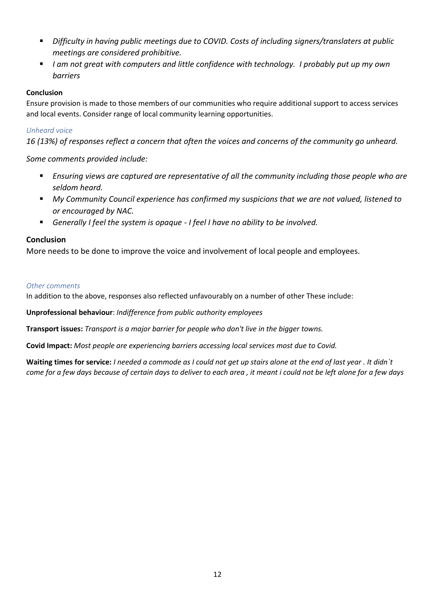- *Difficulty in having public meetings due to COVID. Costs of including signers/translaters at public meetings are considered prohibitive.*
- *I am not great with computers and little confidence with technology. I probably put up my own barriers*

# **Conclusion**

Ensure provision is made to those members of our communities who require additional support to access services and local events. Consider range of local community learning opportunities.

## *Unheard voice*

*16 (13%) of responses reflect a concern that often the voices and concerns of the community go unheard.*

# *Some comments provided include:*

- Ensuring views are captured are representative of all the community including those people who are *seldom heard.*
- My Community Council experience has confirmed my suspicions that we are not valued, listened to *or encouraged by NAC.*
- *Generally I feel the system is opaque - I feel I have no ability to be involved.*

# **Conclusion**

More needs to be done to improve the voice and involvement of local people and employees.

#### *Other comments*

In addition to the above, responses also reflected unfavourably on a number of other These include:

**Unprofessional behaviour**: *Indifference from public authority employees*

**Transport issues:** *Transport is a major barrier for people who don't live in the bigger towns.*

**Covid Impact:** *Most people are experiencing barriers accessing local services most due to Covid.*

**Waiting times for service:** *I needed a commode as I could not get up stairs alone at the end of last year . It didn`t come for a few days because of certain days to deliver to each area , it meant i could not be left alone for a few days*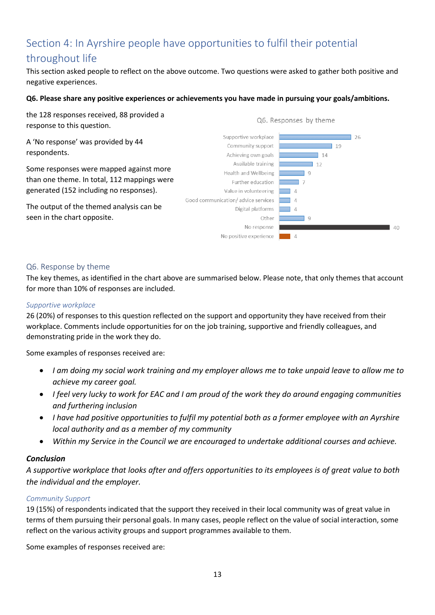# <span id="page-12-0"></span>Section 4: In Ayrshire people have opportunities to fulfil their potential

# throughout life

This section asked people to reflect on the above outcome. Two questions were asked to gather both positive and negative experiences.

#### **Q6. Please share any positive experiences or achievements you have made in pursuing your goals/ambitions.**

the 128 responses received, 88 provided a response to this question.

A 'No response' was provided by 44 respondents.

Some responses were mapped against more than one theme. In total, 112 mappings were generated (152 including no responses).

The output of the themed analysis can be seen in the chart opposite.



#### <span id="page-12-1"></span>Q6. Response by theme

The key themes, as identified in the chart above are summarised below. Please note, that only themes that account for more than 10% of responses are included.

#### *Supportive workplace*

26 (20%) of responses to this question reflected on the support and opportunity they have received from their workplace. Comments include opportunities for on the job training, supportive and friendly colleagues, and demonstrating pride in the work they do.

Some examples of responses received are:

- *I am doing my social work training and my employer allows me to take unpaid leave to allow me to achieve my career goal.*
- *I feel very lucky to work for EAC and I am proud of the work they do around engaging communities and furthering inclusion*
- *I have had positive opportunities to fulfil my potential both as a former employee with an Ayrshire local authority and as a member of my community*
- *Within my Service in the Council we are encouraged to undertake additional courses and achieve.*

## *Conclusion*

*A supportive workplace that looks after and offers opportunities to its employees is of great value to both the individual and the employer.*

## *Community Support*

19 (15%) of respondents indicated that the support they received in their local community was of great value in terms of them pursuing their personal goals. In many cases, people reflect on the value of social interaction, some reflect on the various activity groups and support programmes available to them.

Some examples of responses received are: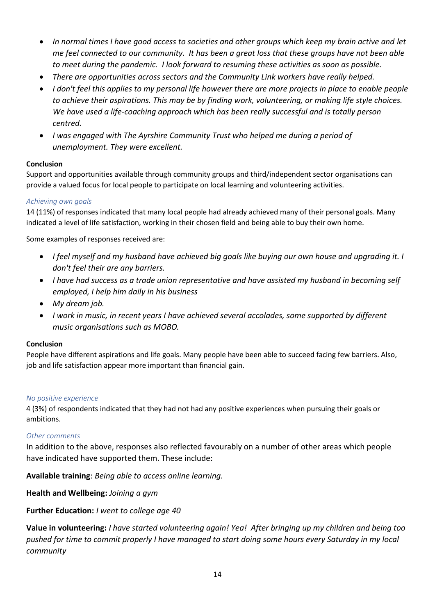- *In normal times I have good access to societies and other groups which keep my brain active and let me feel connected to our community. It has been a great loss that these groups have not been able to meet during the pandemic. I look forward to resuming these activities as soon as possible.*
- *There are opportunities across sectors and the Community Link workers have really helped.*
- *I don't feel this applies to my personal life however there are more projects in place to enable people to achieve their aspirations. This may be by finding work, volunteering, or making life style choices. We have used a life-coaching approach which has been really successful and is totally person centred.*
- *I was engaged with The Ayrshire Community Trust who helped me during a period of unemployment. They were excellent.*

## **Conclusion**

Support and opportunities available through community groups and third/independent sector organisations can provide a valued focus for local people to participate on local learning and volunteering activities.

## *Achieving own goals*

14 (11%) of responses indicated that many local people had already achieved many of their personal goals. Many indicated a level of life satisfaction, working in their chosen field and being able to buy their own home.

Some examples of responses received are:

- *I feel myself and my husband have achieved big goals like buying our own house and upgrading it. I don't feel their are any barriers.*
- *I have had success as a trade union representative and have assisted my husband in becoming self employed, I help him daily in his business*
- *My dream job.*
- *I work in music, in recent years I have achieved several accolades, some supported by different music organisations such as MOBO.*

#### **Conclusion**

People have different aspirations and life goals. Many people have been able to succeed facing few barriers. Also, job and life satisfaction appear more important than financial gain.

#### *No positive experience*

4 (3%) of respondents indicated that they had not had any positive experiences when pursuing their goals or ambitions.

## *Other comments*

In addition to the above, responses also reflected favourably on a number of other areas which people have indicated have supported them. These include:

**Available training**: *Being able to access online learning.*

**Health and Wellbeing:** *Joining a gym*

**Further Education:** *I went to college age 40*

**Value in volunteering:** *I have started volunteering again! Yea! After bringing up my children and being too pushed for time to commit properly I have managed to start doing some hours every Saturday in my local community*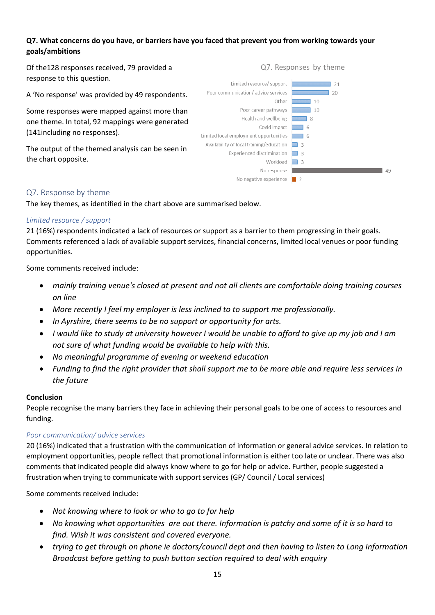## **Q7. What concerns do you have, or barriers have you faced that prevent you from working towards your goals/ambitions**

Of the128 responses received, 79 provided a response to this question.

A 'No response' was provided by 49 respondents.

Some responses were mapped against more than one theme. In total, 92 mappings were generated (141including no responses).

The output of the themed analysis can be seen in the chart opposite.

#### Limited resource/ support  $\sqrt{21}$ Poor communication/ advice services  $\sqrt{20}$ Other $\Box$  $\overline{\phantom{0}}$  10 Poor career pathways 70 Health and wellbeing 38 Covid impact 6 Limited local employment opportunities 6 Availability of local training/education  $\Box$  3 Experienced discrimination 3 Workload 3 No response and the contract of the contract of the contract of the contract of the contract of the contract of the contract of the contract of the contract of the contract of the contract of the contract of the contract o No negative experience  $\begin{array}{|c|c|} \hline \ \hline \ \hline \end{array}$  2

#### <span id="page-14-0"></span>Q7. Response by theme

The key themes, as identified in the chart above are summarised below.

#### *Limited resource / support*

21 (16%) respondents indicated a lack of resources or support as a barrier to them progressing in their goals. Comments referenced a lack of available support services, financial concerns, limited local venues or poor funding opportunities.

Some comments received include:

- *mainly training venue's closed at present and not all clients are comfortable doing training courses on line*
- *More recently I feel my employer is less inclined to to support me professionally.*
- *In Ayrshire, there seems to be no support or opportunity for arts.*
- *I would like to study at university however I would be unable to afford to give up my job and I am not sure of what funding would be available to help with this.*
- *No meaningful programme of evening or weekend education*
- *Funding to find the right provider that shall support me to be more able and require less services in the future*

#### **Conclusion**

People recognise the many barriers they face in achieving their personal goals to be one of access to resources and funding.

## *Poor communication/ advice services*

20 (16%) indicated that a frustration with the communication of information or general advice services. In relation to employment opportunities, people reflect that promotional information is either too late or unclear. There was also comments that indicated people did always know where to go for help or advice. Further, people suggested a frustration when trying to communicate with support services (GP/ Council / Local services)

Some comments received include:

- *Not knowing where to look or who to go to for help*
- *No knowing what opportunities are out there. Information is patchy and some of it is so hard to find. Wish it was consistent and covered everyone.*
- *trying to get through on phone ie doctors/council dept and then having to listen to Long Information Broadcast before getting to push button section required to deal with enquiry*

Q7. Responses by theme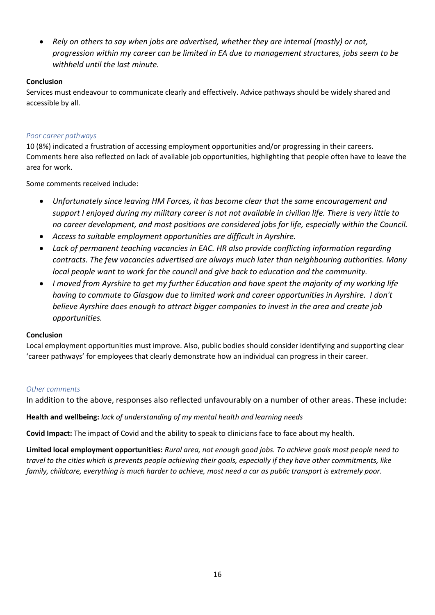• *Rely on others to say when jobs are advertised, whether they are internal (mostly) or not, progression within my career can be limited in EA due to management structures, jobs seem to be withheld until the last minute.*

## **Conclusion**

Services must endeavour to communicate clearly and effectively. Advice pathways should be widely shared and accessible by all.

# *Poor career pathways*

10 (8%) indicated a frustration of accessing employment opportunities and/or progressing in their careers. Comments here also reflected on lack of available job opportunities, highlighting that people often have to leave the area for work.

Some comments received include:

- *Unfortunately since leaving HM Forces, it has become clear that the same encouragement and support I enjoyed during my military career is not not available in civilian life. There is very little to no career development, and most positions are considered jobs for life, especially within the Council.*
- *Access to suitable employment opportunities are difficult in Ayrshire.*
- *Lack of permanent teaching vacancies in EAC. HR also provide conflicting information regarding contracts. The few vacancies advertised are always much later than neighbouring authorities. Many local people want to work for the council and give back to education and the community.*
- *I moved from Ayrshire to get my further Education and have spent the majority of my working life having to commute to Glasgow due to limited work and career opportunities in Ayrshire. I don't believe Ayrshire does enough to attract bigger companies to invest in the area and create job opportunities.*

## **Conclusion**

Local employment opportunities must improve. Also, public bodies should consider identifying and supporting clear 'career pathways' for employees that clearly demonstrate how an individual can progress in their career.

## *Other comments*

In addition to the above, responses also reflected unfavourably on a number of other areas. These include:

**Health and wellbeing:** *lack of understanding of my mental health and learning needs*

**Covid Impact:** The impact of Covid and the ability to speak to clinicians face to face about my health.

**Limited local employment opportunities:** *Rural area, not enough good jobs. To achieve goals most people need to travel to the cities which is prevents people achieving their goals, especially if they have other commitments, like family, childcare, everything is much harder to achieve, most need a car as public transport is extremely poor.*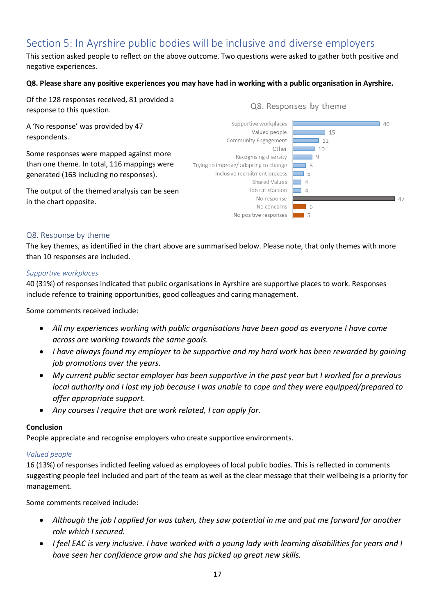# <span id="page-16-0"></span>Section 5: In Ayrshire public bodies will be inclusive and diverse employers

This section asked people to reflect on the above outcome. Two questions were asked to gather both positive and negative experiences.

#### **Q8. Please share any positive experiences you may have had in working with a public organisation in Ayrshire.**

Of the 128 responses received, 81 provided a response to this question.

A 'No response' was provided by 47 respondents.

Some responses were mapped against more than one theme. In total, 116 mappings were generated (163 including no responses).

The output of the themed analysis can be seen in the chart opposite.

Q8. Responses by theme



## <span id="page-16-1"></span>Q8. Response by theme

The key themes, as identified in the chart above are summarised below. Please note, that only themes with more than 10 responses are included.

#### *Supportive workplaces*

40 (31%) of responses indicated that public organisations in Ayrshire are supportive places to work. Responses include refence to training opportunities, good colleagues and caring management.

Some comments received include:

- *All my experiences working with public organisations have been good as everyone I have come across are working towards the same goals.*
- *I have always found my employer to be supportive and my hard work has been rewarded by gaining job promotions over the years.*
- *My current public sector employer has been supportive in the past year but I worked for a previous local authority and I lost my job because I was unable to cope and they were equipped/prepared to offer appropriate support.*
- *Any courses I require that are work related, I can apply for.*

## **Conclusion**

People appreciate and recognise employers who create supportive environments.

#### *Valued people*

16 (13%) of responses indicted feeling valued as employees of local public bodies. This is reflected in comments suggesting people feel included and part of the team as well as the clear message that their wellbeing is a priority for management.

Some comments received include:

- *Although the job I applied for was taken, they saw potential in me and put me forward for another role which I secured.*
- *I feel EAC is very inclusive. I have worked with a young lady with learning disabilities for years and I have seen her confidence grow and she has picked up great new skills.*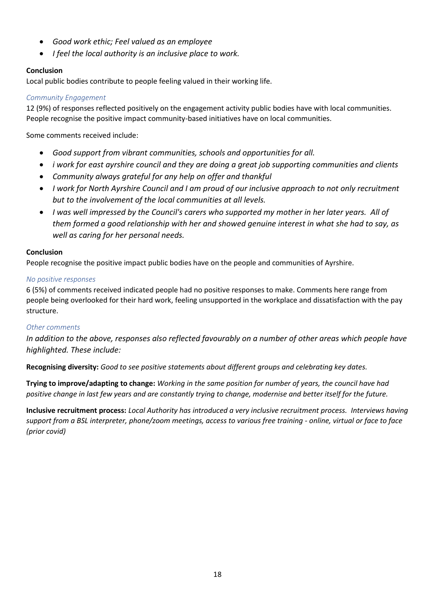- *Good work ethic; Feel valued as an employee*
- *I feel the local authority is an inclusive place to work.*

# **Conclusion**

Local public bodies contribute to people feeling valued in their working life.

## *Community Engagement*

12 (9%) of responses reflected positively on the engagement activity public bodies have with local communities. People recognise the positive impact community-based initiatives have on local communities.

Some comments received include:

- *Good support from vibrant communities, schools and opportunities for all.*
- *i work for east ayrshire council and they are doing a great job supporting communities and clients*
- *Community always grateful for any help on offer and thankful*
- *I work for North Ayrshire Council and I am proud of our inclusive approach to not only recruitment but to the involvement of the local communities at all levels.*
- *I was well impressed by the Council's carers who supported my mother in her later years. All of them formed a good relationship with her and showed genuine interest in what she had to say, as well as caring for her personal needs.*

# **Conclusion**

People recognise the positive impact public bodies have on the people and communities of Ayrshire.

## *No positive responses*

6 (5%) of comments received indicated people had no positive responses to make. Comments here range from people being overlooked for their hard work, feeling unsupported in the workplace and dissatisfaction with the pay structure.

## *Other comments*

*In addition to the above, responses also reflected favourably on a number of other areas which people have highlighted. These include:*

**Recognising diversity:** *Good to see positive statements about different groups and celebrating key dates.*

**Trying to improve/adapting to change:** *Working in the same position for number of years, the council have had positive change in last few years and are constantly trying to change, modernise and better itself for the future.* 

**Inclusive recruitment process:** *Local Authority has introduced a very inclusive recruitment process. Interviews having support from a BSL interpreter, phone/zoom meetings, access to various free training - online, virtual or face to face (prior covid)*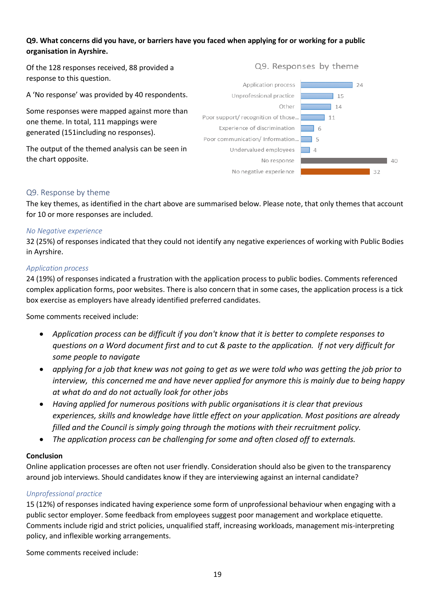## **Q9. What concerns did you have, or barriers have you faced when applying for or working for a public organisation in Ayrshire.**

Of the 128 responses received, 88 provided a response to this question.

A 'No response' was provided by 40 respondents.

Some responses were mapped against more than one theme. In total, 111 mappings were generated (151including no responses).

The output of the themed analysis can be seen in the chart opposite.

#### Application process  $\overline{1}$  24 Unprofessional practice  $-15$ Other  $14$ Poor support/ recognition of those...  $\overline{1}$  11 Experience of discrimination  $\overline{\phantom{a}}$  6 Poor communication/ Information... Undervalued employees No response  $\frac{1}{40}$  $32$ No negative experience

Q9. Responses by theme

#### <span id="page-18-0"></span>Q9. Response by theme

The key themes, as identified in the chart above are summarised below. Please note, that only themes that account for 10 or more responses are included.

#### *No Negative experience*

32 (25%) of responses indicated that they could not identify any negative experiences of working with Public Bodies in Ayrshire.

#### *Application process*

24 (19%) of responses indicated a frustration with the application process to public bodies. Comments referenced complex application forms, poor websites. There is also concern that in some cases, the application process is a tick box exercise as employers have already identified preferred candidates.

Some comments received include:

- *Application process can be difficult if you don't know that it is better to complete responses to questions on a Word document first and to cut & paste to the application. If not very difficult for some people to navigate*
- *applying for a job that knew was not going to get as we were told who was getting the job prior to interview, this concerned me and have never applied for anymore this is mainly due to being happy at what do and do not actually look for other jobs*
- *Having applied for numerous positions with public organisations it is clear that previous experiences, skills and knowledge have little effect on your application. Most positions are already filled and the Council is simply going through the motions with their recruitment policy.*
- *The application process can be challenging for some and often closed off to externals.*

## **Conclusion**

Online application processes are often not user friendly. Consideration should also be given to the transparency around job interviews. Should candidates know if they are interviewing against an internal candidate?

## *Unprofessional practice*

15 (12%) of responses indicated having experience some form of unprofessional behaviour when engaging with a public sector employer. Some feedback from employees suggest poor management and workplace etiquette. Comments include rigid and strict policies, unqualified staff, increasing workloads, management mis-interpreting policy, and inflexible working arrangements.

Some comments received include: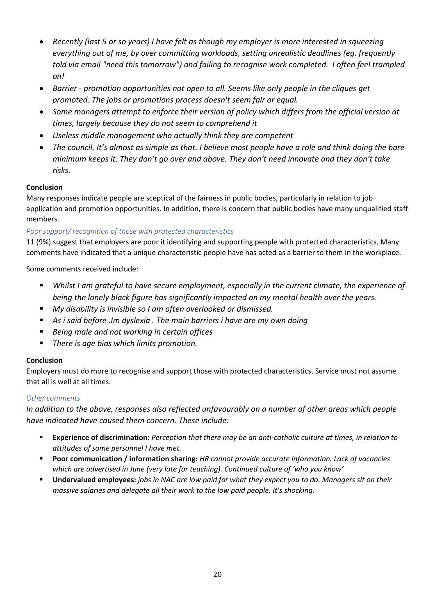- *Recently (last 5 or so years) I have felt as though my employer is more interested in squeezing everything out of me, by over committing workloads, setting unrealistic deadlines (eg. frequently told via email "need this tomorrow") and failing to recognise work completed. I often feel trampled on!*
- *Barrier - promotion opportunities not open to all. Seems like only people in the cliques get promoted. The jobs or promotions process doesn't seem fair or equal.*
- *Some managers attempt to enforce their version of policy which differs from the official version at times, largely because they do not seem to comprehend it*
- *Useless middle management who actually think they are competent*
- *The council. It's almost as simple as that. I believe most people have a role and think doing the bare minimum keeps it. They don't go over and above. They don't need innovate and they don't take risks.*

# **Conclusion**

Many responses indicate people are sceptical of the fairness in public bodies, particularly in relation to job application and promotion opportunities. In addition, there is concern that public bodies have many unqualified staff members.

# *Poor support/ recognition of those with protected characteristics*

11 (9%) suggest that employers are poor it identifying and supporting people with protected characteristics. Many comments have indicated that a unique characteristic people have has acted as a barrier to them in the workplace.

Some comments received include:

- *Whilst I am grateful to have secure employment, especially in the current climate, the experience of being the lonely black figure has significantly impacted on my mental health over the years.*
- *My disability is invisible so I am often overlooked or dismissed.*
- *As i said before .Im dyslexia . The main barriers i have are my own doing*
- *Being male and not working in certain offices*
- *There is age bias which limits promotion.*

# **Conclusion**

Employers must do more to recognise and support those with protected characteristics. Service must not assume that all is well at all times.

# *Other comments*

*In addition to the above, responses also reflected unfavourably on a number of other areas which people have indicated have caused them concern. These include:*

- **Experience of discrimination:** *Perception that there may be an anti-catholic culture at times, in relation to attitudes of some personnel I have met.*
- **Poor communication / information sharing:** *HR cannot provide accurate information. Lack of vacancies which are advertised in June (very late for teaching). Continued culture of 'who you know'*
- **Undervalued employees:** *jobs in NAC are low paid for what they expect you to do. Managers sit on their massive salaries and delegate all their work to the low paid people. It's shocking.*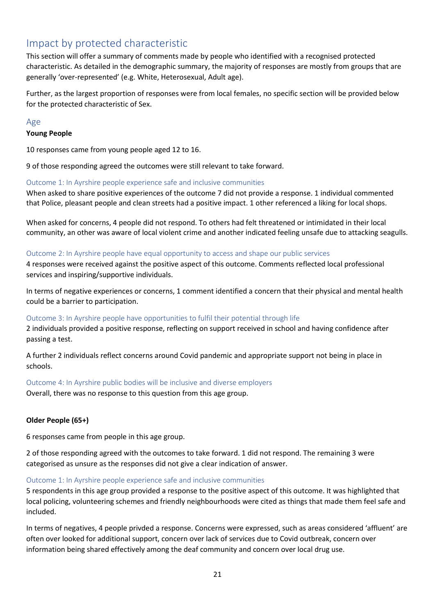# <span id="page-20-0"></span>Impact by protected characteristic

This section will offer a summary of comments made by people who identified with a recognised protected characteristic. As detailed in the demographic summary, the majority of responses are mostly from groups that are generally 'over-represented' (e.g. White, Heterosexual, Adult age).

Further, as the largest proportion of responses were from local females, no specific section will be provided below for the protected characteristic of Sex.

#### <span id="page-20-1"></span>Age

#### **Young People**

10 responses came from young people aged 12 to 16.

9 of those responding agreed the outcomes were still relevant to take forward.

#### Outcome 1: In Ayrshire people experience safe and inclusive communities

When asked to share positive experiences of the outcome 7 did not provide a response. 1 individual commented that Police, pleasant people and clean streets had a positive impact. 1 other referenced a liking for local shops.

When asked for concerns, 4 people did not respond. To others had felt threatened or intimidated in their local community, an other was aware of local violent crime and another indicated feeling unsafe due to attacking seagulls.

#### Outcome 2: In Ayrshire people have equal opportunity to access and shape our public services

4 responses were received against the positive aspect of this outcome. Comments reflected local professional services and inspiring/supportive individuals.

In terms of negative experiences or concerns, 1 comment identified a concern that their physical and mental health could be a barrier to participation.

## Outcome 3: In Ayrshire people have opportunities to fulfil their potential through life

2 individuals provided a positive response, reflecting on support received in school and having confidence after passing a test.

A further 2 individuals reflect concerns around Covid pandemic and appropriate support not being in place in schools.

Outcome 4: In Ayrshire public bodies will be inclusive and diverse employers

Overall, there was no response to this question from this age group.

## **Older People (65+)**

6 responses came from people in this age group.

2 of those responding agreed with the outcomes to take forward. 1 did not respond. The remaining 3 were categorised as unsure as the responses did not give a clear indication of answer.

#### Outcome 1: In Ayrshire people experience safe and inclusive communities

5 respondents in this age group provided a response to the positive aspect of this outcome. It was highlighted that local policing, volunteering schemes and friendly neighbourhoods were cited as things that made them feel safe and included.

In terms of negatives, 4 people privded a response. Concerns were expressed, such as areas considered 'affluent' are often over looked for additional support, concern over lack of services due to Covid outbreak, concern over information being shared effectively among the deaf community and concern over local drug use.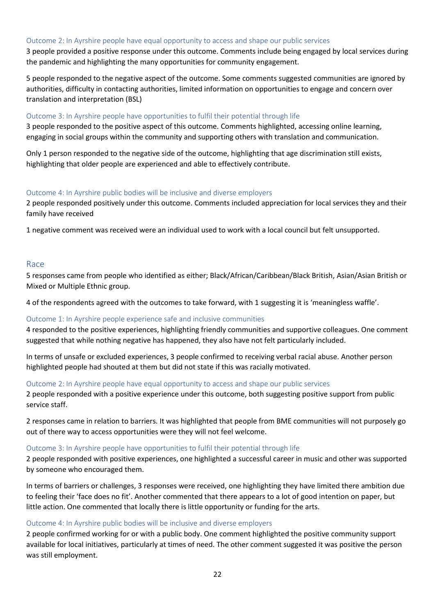#### Outcome 2: In Ayrshire people have equal opportunity to access and shape our public services

3 people provided a positive response under this outcome. Comments include being engaged by local services during the pandemic and highlighting the many opportunities for community engagement.

5 people responded to the negative aspect of the outcome. Some comments suggested communities are ignored by authorities, difficulty in contacting authorities, limited information on opportunities to engage and concern over translation and interpretation (BSL)

#### Outcome 3: In Ayrshire people have opportunities to fulfil their potential through life

3 people responded to the positive aspect of this outcome. Comments highlighted, accessing online learning, engaging in social groups within the community and supporting others with translation and communication.

Only 1 person responded to the negative side of the outcome, highlighting that age discrimination still exists, highlighting that older people are experienced and able to effectively contribute.

#### Outcome 4: In Ayrshire public bodies will be inclusive and diverse employers

2 people responded positively under this outcome. Comments included appreciation for local services they and their family have received

1 negative comment was received were an individual used to work with a local council but felt unsupported.

#### <span id="page-21-0"></span>Race

5 responses came from people who identified as either; Black/African/Caribbean/Black British, Asian/Asian British or Mixed or Multiple Ethnic group.

4 of the respondents agreed with the outcomes to take forward, with 1 suggesting it is 'meaningless waffle'.

#### Outcome 1: In Ayrshire people experience safe and inclusive communities

4 responded to the positive experiences, highlighting friendly communities and supportive colleagues. One comment suggested that while nothing negative has happened, they also have not felt particularly included.

In terms of unsafe or excluded experiences, 3 people confirmed to receiving verbal racial abuse. Another person highlighted people had shouted at them but did not state if this was racially motivated.

#### Outcome 2: In Ayrshire people have equal opportunity to access and shape our public services

2 people responded with a positive experience under this outcome, both suggesting positive support from public service staff.

2 responses came in relation to barriers. It was highlighted that people from BME communities will not purposely go out of there way to access opportunities were they will not feel welcome.

#### Outcome 3: In Ayrshire people have opportunities to fulfil their potential through life

2 people responded with positive experiences, one highlighted a successful career in music and other was supported by someone who encouraged them.

In terms of barriers or challenges, 3 responses were received, one highlighting they have limited there ambition due to feeling their 'face does no fit'. Another commented that there appears to a lot of good intention on paper, but little action. One commented that locally there is little opportunity or funding for the arts.

#### Outcome 4: In Ayrshire public bodies will be inclusive and diverse employers

2 people confirmed working for or with a public body. One comment highlighted the positive community support available for local initiatives, particularly at times of need. The other comment suggested it was positive the person was still employment.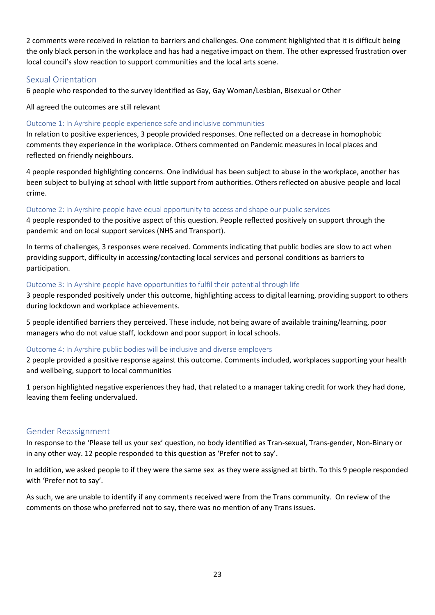2 comments were received in relation to barriers and challenges. One comment highlighted that it is difficult being the only black person in the workplace and has had a negative impact on them. The other expressed frustration over local council's slow reaction to support communities and the local arts scene.

# <span id="page-22-0"></span>Sexual Orientation

6 people who responded to the survey identified as Gay, Gay Woman/Lesbian, Bisexual or Other

All agreed the outcomes are still relevant

#### Outcome 1: In Ayrshire people experience safe and inclusive communities

In relation to positive experiences, 3 people provided responses. One reflected on a decrease in homophobic comments they experience in the workplace. Others commented on Pandemic measures in local places and reflected on friendly neighbours.

4 people responded highlighting concerns. One individual has been subject to abuse in the workplace, another has been subject to bullying at school with little support from authorities. Others reflected on abusive people and local crime.

#### Outcome 2: In Ayrshire people have equal opportunity to access and shape our public services

4 people responded to the positive aspect of this question. People reflected positively on support through the pandemic and on local support services (NHS and Transport).

In terms of challenges, 3 responses were received. Comments indicating that public bodies are slow to act when providing support, difficulty in accessing/contacting local services and personal conditions as barriers to participation.

#### Outcome 3: In Ayrshire people have opportunities to fulfil their potential through life

3 people responded positively under this outcome, highlighting access to digital learning, providing support to others during lockdown and workplace achievements.

5 people identified barriers they perceived. These include, not being aware of available training/learning, poor managers who do not value staff, lockdown and poor support in local schools.

## Outcome 4: In Ayrshire public bodies will be inclusive and diverse employers

2 people provided a positive response against this outcome. Comments included, workplaces supporting your health and wellbeing, support to local communities

1 person highlighted negative experiences they had, that related to a manager taking credit for work they had done, leaving them feeling undervalued.

## <span id="page-22-1"></span>Gender Reassignment

In response to the 'Please tell us your sex' question, no body identified as Tran-sexual, Trans-gender, Non-Binary or in any other way. 12 people responded to this question as 'Prefer not to say'.

In addition, we asked people to if they were the same sex as they were assigned at birth. To this 9 people responded with 'Prefer not to say'.

As such, we are unable to identify if any comments received were from the Trans community. On review of the comments on those who preferred not to say, there was no mention of any Trans issues.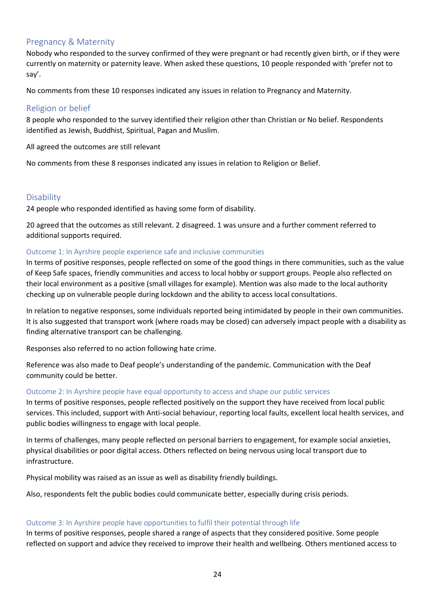# <span id="page-23-0"></span>Pregnancy & Maternity

Nobody who responded to the survey confirmed of they were pregnant or had recently given birth, or if they were currently on maternity or paternity leave. When asked these questions, 10 people responded with 'prefer not to say'.

No comments from these 10 responses indicated any issues in relation to Pregnancy and Maternity.

# <span id="page-23-1"></span>Religion or belief

8 people who responded to the survey identified their religion other than Christian or No belief. Respondents identified as Jewish, Buddhist, Spiritual, Pagan and Muslim.

All agreed the outcomes are still relevant

No comments from these 8 responses indicated any issues in relation to Religion or Belief.

# <span id="page-23-2"></span>**Disability**

24 people who responded identified as having some form of disability.

20 agreed that the outcomes as still relevant. 2 disagreed. 1 was unsure and a further comment referred to additional supports required.

#### Outcome 1: In Ayrshire people experience safe and inclusive communities

In terms of positive responses, people reflected on some of the good things in there communities, such as the value of Keep Safe spaces, friendly communities and access to local hobby or support groups. People also reflected on their local environment as a positive (small villages for example). Mention was also made to the local authority checking up on vulnerable people during lockdown and the ability to access local consultations.

In relation to negative responses, some individuals reported being intimidated by people in their own communities. It is also suggested that transport work (where roads may be closed) can adversely impact people with a disability as finding alternative transport can be challenging.

Responses also referred to no action following hate crime.

Reference was also made to Deaf people's understanding of the pandemic. Communication with the Deaf community could be better.

#### Outcome 2: In Ayrshire people have equal opportunity to access and shape our public services

In terms of positive responses, people reflected positively on the support they have received from local public services. This included, support with Anti-social behaviour, reporting local faults, excellent local health services, and public bodies willingness to engage with local people.

In terms of challenges, many people reflected on personal barriers to engagement, for example social anxieties, physical disabilities or poor digital access. Others reflected on being nervous using local transport due to infrastructure.

Physical mobility was raised as an issue as well as disability friendly buildings.

Also, respondents felt the public bodies could communicate better, especially during crisis periods.

## Outcome 3: In Ayrshire people have opportunities to fulfil their potential through life

In terms of positive responses, people shared a range of aspects that they considered positive. Some people reflected on support and advice they received to improve their health and wellbeing. Others mentioned access to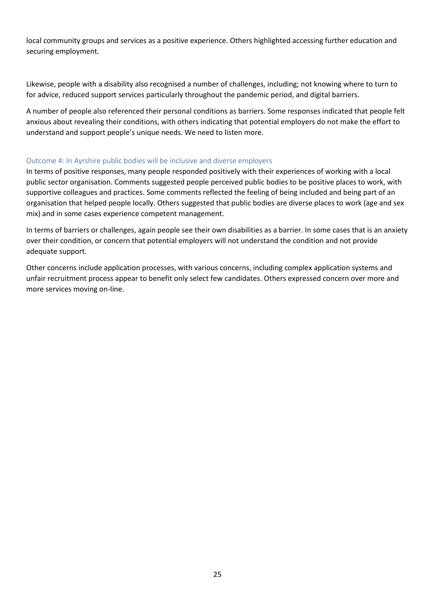local community groups and services as a positive experience. Others highlighted accessing further education and securing employment.

Likewise, people with a disability also recognised a number of challenges, including; not knowing where to turn to for advice, reduced support services particularly throughout the pandemic period, and digital barriers.

A number of people also referenced their personal conditions as barriers. Some responses indicated that people felt anxious about revealing their conditions, with others indicating that potential employers do not make the effort to understand and support people's unique needs. We need to listen more.

#### Outcome 4: In Ayrshire public bodies will be inclusive and diverse employers

In terms of positive responses, many people responded positively with their experiences of working with a local public sector organisation. Comments suggested people perceived public bodies to be positive places to work, with supportive colleagues and practices. Some comments reflected the feeling of being included and being part of an organisation that helped people locally. Others suggested that public bodies are diverse places to work (age and sex mix) and in some cases experience competent management.

In terms of barriers or challenges, again people see their own disabilities as a barrier. In some cases that is an anxiety over their condition, or concern that potential employers will not understand the condition and not provide adequate support.

Other concerns include application processes, with various concerns, including complex application systems and unfair recruitment process appear to benefit only select few candidates. Others expressed concern over more and more services moving on-line.